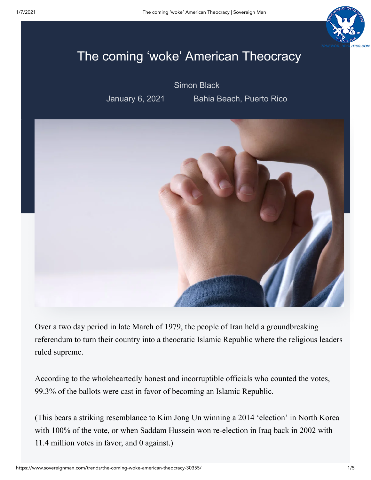

## The coming 'woke' American Theocracy

[Simon Black](https://www.sovereignman.com/author/simonblack/)

January 6, 2021 Bahia Beach, Puerto Rico



Over a two day period in late March of 1979, the people of Iran held a groundbreaking referendum to turn their country into a theocratic Islamic Republic where the religious leaders ruled supreme.

According to the wholeheartedly honest and incorruptible officials who counted the votes, 99.3% of the ballots were cast in favor of becoming an Islamic Republic.

(This bears a striking resemblance to Kim Jong Un winning a 2014 'election' in North Korea with 100% of the vote, or when Saddam Hussein won re-election in Iraq back in 2002 with 11.4 million votes in favor, and 0 against.)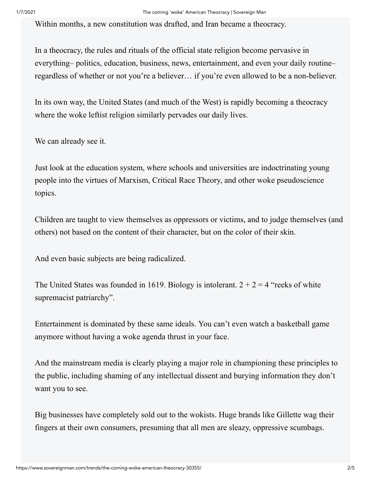Within months, a new constitution was drafted, and Iran became a theocracy.

In a theocracy, the rules and rituals of the official state religion become pervasive in everything– politics, education, business, news, entertainment, and even your daily routine– regardless of whether or not you're a believer… if you're even allowed to be a non-believer.

In its own way, the United States (and much of the West) is rapidly becoming a theocracy where the woke leftist religion similarly pervades our daily lives.

We can already see it.

Just look at the education system, where schools and universities are indoctrinating young people into the virtues of Marxism, Critical Race Theory, and other woke pseudoscience topics.

Children are taught to view themselves as oppressors or victims, and to judge themselves (and others) not based on the content of their character, but on the color of their skin.

And even basic subjects are being radicalized.

The United States was founded in 1619. Biology is intolerant.  $2 + 2 = 4$  "reeks of white supremacist patriarchy".

Entertainment is dominated by these same ideals. You can't even watch a basketball game anymore without having a woke agenda thrust in your face.

And the mainstream media is clearly playing a major role in championing these principles to the public, including shaming of any intellectual dissent and burying information they don't want you to see.

Big businesses have completely sold out to the wokists. Huge brands like Gillette wag their fingers at their own consumers, presuming that all men are sleazy, oppressive scumbags.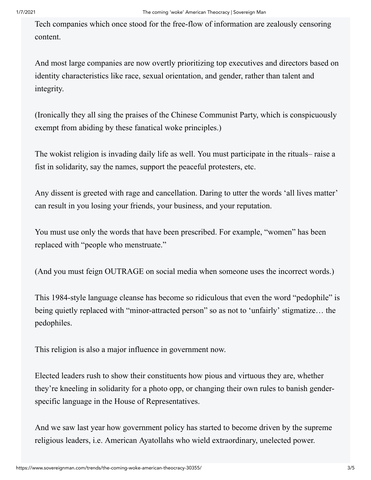Tech companies which once stood for the free-flow of information are zealously censoring content.

And most large companies are now overtly prioritizing top executives and directors based on identity characteristics like race, sexual orientation, and gender, rather than talent and integrity.

(Ironically they all sing the praises of the Chinese Communist Party, which is conspicuously exempt from abiding by these fanatical woke principles.)

The wokist religion is invading daily life as well. You must participate in the rituals– raise a fist in solidarity, say the names, support the peaceful protesters, etc.

Any dissent is greeted with rage and cancellation. Daring to utter the words 'all lives matter' can result in you losing your friends, your business, and your reputation.

You must use only the words that have been prescribed. For example, "women" has been replaced with "people who menstruate."

(And you must feign OUTRAGE on social media when someone uses the incorrect words.)

This 1984-style language cleanse has become so ridiculous that even the word "pedophile" is being quietly replaced with "minor-attracted person" so as not to 'unfairly' stigmatize… the pedophiles.

This religion is also a major influence in government now.

Elected leaders rush to show their constituents how pious and virtuous they are, whether they're kneeling in solidarity for a photo opp, or changing their own rules to banish genderspecific language in the House of Representatives.

And we saw last year how government policy has started to become driven by the supreme religious leaders, i.e. American Ayatollahs who wield extraordinary, unelected power.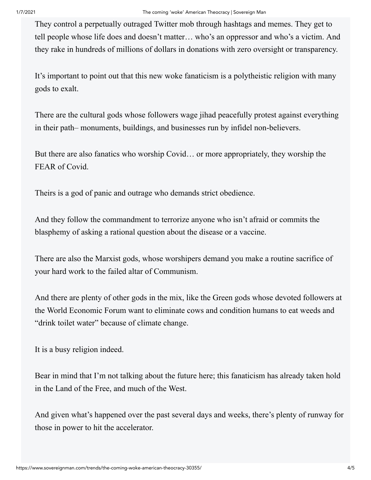They control a perpetually outraged Twitter mob through hashtags and memes. They get to tell people whose life does and doesn't matter… who's an oppressor and who's a victim. And they rake in hundreds of millions of dollars in donations with zero oversight or transparency.

It's important to point out that this new woke fanaticism is a polytheistic religion with many gods to exalt.

There are the cultural gods whose followers wage jihad peacefully protest against everything in their path– monuments, buildings, and businesses run by infidel non-believers.

But there are also fanatics who worship Covid… or more appropriately, they worship the FEAR of Covid.

Theirs is a god of panic and outrage who demands strict obedience.

And they follow the commandment to terrorize anyone who isn't afraid or commits the blasphemy of asking a rational question about the disease or a vaccine.

There are also the Marxist gods, whose worshipers demand you make a routine sacrifice of your hard work to the failed altar of Communism.

And there are plenty of other gods in the mix, like the Green gods whose devoted followers at the World Economic Forum want to eliminate cows and condition humans to eat weeds and "drink toilet water" because of climate change.

It is a busy religion indeed.

Bear in mind that I'm not talking about the future here; this fanaticism has already taken hold in the Land of the Free, and much of the West.

And given what's happened over the past several days and weeks, there's plenty of runway for those in power to hit the accelerator.